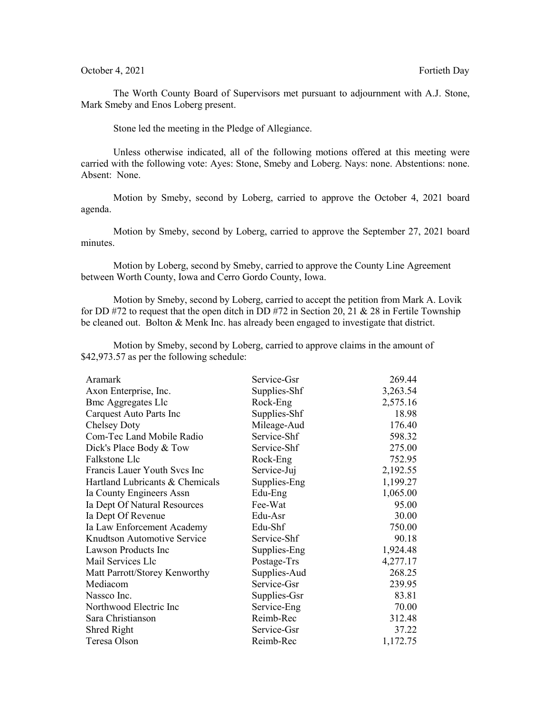## October 4, 2021 **Fortieth Day**

The Worth County Board of Supervisors met pursuant to adjournment with A.J. Stone, Mark Smeby and Enos Loberg present.

Stone led the meeting in the Pledge of Allegiance.

Unless otherwise indicated, all of the following motions offered at this meeting were carried with the following vote: Ayes: Stone, Smeby and Loberg. Nays: none. Abstentions: none. Absent: None.

Motion by Smeby, second by Loberg, carried to approve the October 4, 2021 board agenda.

Motion by Smeby, second by Loberg, carried to approve the September 27, 2021 board minutes.

Motion by Loberg, second by Smeby, carried to approve the County Line Agreement between Worth County, Iowa and Cerro Gordo County, Iowa.

Motion by Smeby, second by Loberg, carried to accept the petition from Mark A. Lovik for DD #72 to request that the open ditch in DD #72 in Section 20, 21 & 28 in Fertile Township be cleaned out. Bolton & Menk Inc. has already been engaged to investigate that district.

Motion by Smeby, second by Loberg, carried to approve claims in the amount of \$42,973.57 as per the following schedule:

| Aramark                         | Service-Gsr  | 269.44   |
|---------------------------------|--------------|----------|
| Axon Enterprise, Inc.           | Supplies-Shf | 3,263.54 |
| <b>Bmc Aggregates Llc</b>       | Rock-Eng     | 2,575.16 |
| Carquest Auto Parts Inc         | Supplies-Shf | 18.98    |
| <b>Chelsey Doty</b>             | Mileage-Aud  | 176.40   |
| Com-Tec Land Mobile Radio       | Service-Shf  | 598.32   |
| Dick's Place Body & Tow         | Service-Shf  | 275.00   |
| Falkstone Llc                   | Rock-Eng     | 752.95   |
| Francis Lauer Youth Svcs Inc    | Service-Juj  | 2,192.55 |
| Hartland Lubricants & Chemicals | Supplies-Eng | 1,199.27 |
| Ia County Engineers Assn        | Edu-Eng      | 1,065.00 |
| Ia Dept Of Natural Resources    | Fee-Wat      | 95.00    |
| Ia Dept Of Revenue              | Edu-Asr      | 30.00    |
| Ia Law Enforcement Academy      | Edu-Shf      | 750.00   |
| Knudtson Automotive Service     | Service-Shf  | 90.18    |
| Lawson Products Inc             | Supplies-Eng | 1,924.48 |
| Mail Services Llc               | Postage-Trs  | 4,277.17 |
| Matt Parrott/Storey Kenworthy   | Supplies-Aud | 268.25   |
| Mediacom                        | Service-Gsr  | 239.95   |
| Nassco Inc.                     | Supplies-Gsr | 83.81    |
| Northwood Electric Inc          | Service-Eng  | 70.00    |
| Sara Christianson               | Reimb-Rec    | 312.48   |
| Shred Right                     | Service-Gsr  | 37.22    |
| Teresa Olson                    | Reimb-Rec    | 1,172.75 |